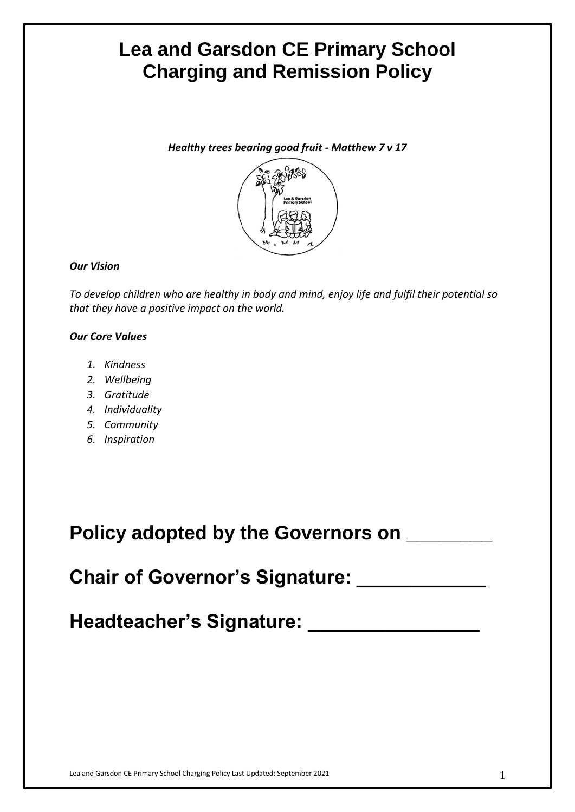# **Lea and Garsdon CE Primary School Charging and Remission Policy**

*Healthy trees bearing good fruit* **-** *Matthew 7 v 17*



## *Our Vision*

*To develop children who are healthy in body and mind, enjoy life and fulfil their potential so that they have a positive impact on the world.*

# *Our Core Values*

- *1. Kindness*
- *2. Wellbeing*
- *3. Gratitude*
- *4. Individuality*
- *5. Community*
- *6. Inspiration*

| <b>Policy adopted by the Governors on</b> |  |
|-------------------------------------------|--|
|                                           |  |

**Chair of Governor's Signature:** 

**Headteacher's Signature: \_\_\_\_\_\_\_\_\_\_\_\_\_\_\_\_**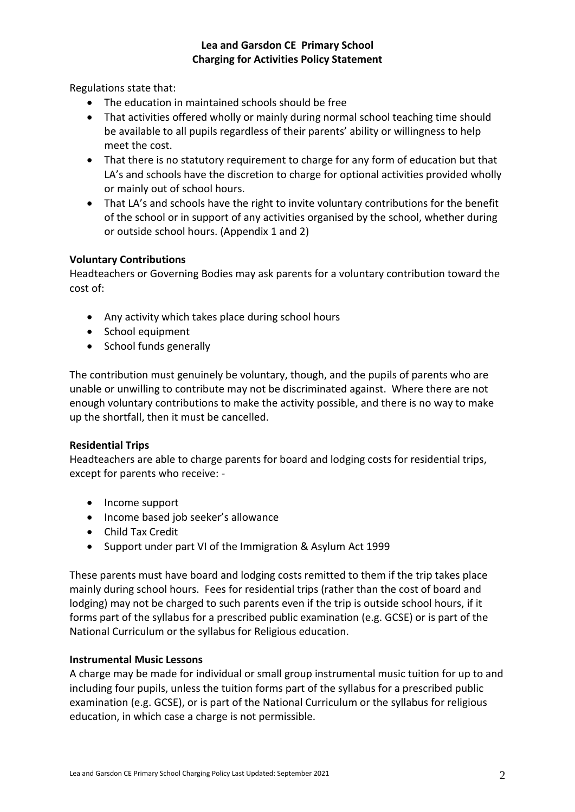# **Lea and Garsdon CE Primary School Charging for Activities Policy Statement**

Regulations state that:

- The education in maintained schools should be free
- That activities offered wholly or mainly during normal school teaching time should be available to all pupils regardless of their parents' ability or willingness to help meet the cost.
- That there is no statutory requirement to charge for any form of education but that LA's and schools have the discretion to charge for optional activities provided wholly or mainly out of school hours.
- That LA's and schools have the right to invite voluntary contributions for the benefit of the school or in support of any activities organised by the school, whether during or outside school hours. (Appendix 1 and 2)

### **Voluntary Contributions**

Headteachers or Governing Bodies may ask parents for a voluntary contribution toward the cost of:

- Any activity which takes place during school hours
- School equipment
- School funds generally

The contribution must genuinely be voluntary, though, and the pupils of parents who are unable or unwilling to contribute may not be discriminated against. Where there are not enough voluntary contributions to make the activity possible, and there is no way to make up the shortfall, then it must be cancelled.

#### **Residential Trips**

Headteachers are able to charge parents for board and lodging costs for residential trips, except for parents who receive: -

- Income support
- Income based job seeker's allowance
- Child Tax Credit
- Support under part VI of the Immigration & Asylum Act 1999

These parents must have board and lodging costs remitted to them if the trip takes place mainly during school hours. Fees for residential trips (rather than the cost of board and lodging) may not be charged to such parents even if the trip is outside school hours, if it forms part of the syllabus for a prescribed public examination (e.g. GCSE) or is part of the National Curriculum or the syllabus for Religious education.

#### **Instrumental Music Lessons**

A charge may be made for individual or small group instrumental music tuition for up to and including four pupils, unless the tuition forms part of the syllabus for a prescribed public examination (e.g. GCSE), or is part of the National Curriculum or the syllabus for religious education, in which case a charge is not permissible.